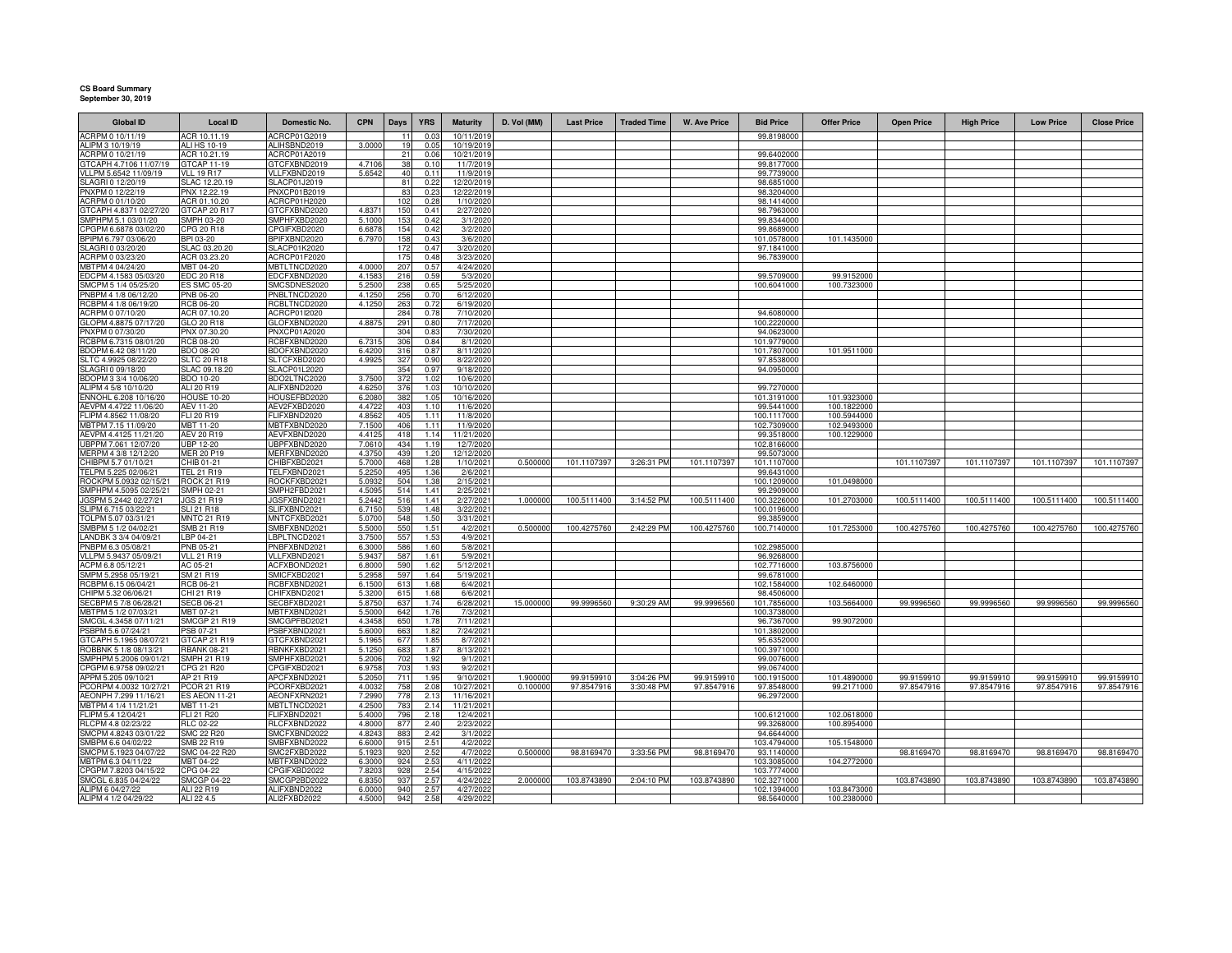## **CS Board Summary September 30, 2019**

| <b>Global ID</b>                                | <b>Local ID</b>                        | Domestic No.                        | <b>CPN</b>       | Days       | <b>YRS</b>   | <b>Maturity</b>         | D. Vol (MM) | <b>Last Price</b> | <b>Traded Time</b> | <b>W. Ave Price</b> | <b>Bid Price</b>           | <b>Offer Price</b> | <b>Open Price</b> | <b>High Price</b> | <b>Low Price</b> | <b>Close Price</b> |
|-------------------------------------------------|----------------------------------------|-------------------------------------|------------------|------------|--------------|-------------------------|-------------|-------------------|--------------------|---------------------|----------------------------|--------------------|-------------------|-------------------|------------------|--------------------|
| ACRPM 0 10/11/19                                | ACR 10.11.19                           | ACRCP01G2019                        |                  | 11         | 0.03         | 10/11/2019              |             |                   |                    |                     | 99.8198000                 |                    |                   |                   |                  |                    |
| ALIPM 3 10/19/19                                | ALI HS 10-19                           | ALIHSBND2019                        | 3.0000           | 19         | 0.05         | 10/19/2019              |             |                   |                    |                     |                            |                    |                   |                   |                  |                    |
| ACRPM 0 10/21/19                                | ACR 10.21.19                           | ACRCP01A2019                        |                  | 21         | 0.06         | 10/21/2019              |             |                   |                    |                     | 99.6402000                 |                    |                   |                   |                  |                    |
| GTCAPH 4.7106 11/07/19<br>VLLPM 5.6542 11/09/19 | GTCAP 11-19<br><b>VLL 19 R17</b>       | <b>STCFXBND2019</b><br>/LLFXBND2019 | 4.7106<br>5.6542 | 40         | 0.10<br>0.11 | 11/7/2019<br>11/9/2019  |             |                   |                    |                     | 99.8177000<br>99.7739000   |                    |                   |                   |                  |                    |
| SLAGRI 0 12/20/19                               | SLAC 12.20.19                          | SLACP01J2019                        |                  | 81         | 0.22         | 12/20/2019              |             |                   |                    |                     | 98.6851000                 |                    |                   |                   |                  |                    |
| PNXPM 0 12/22/19                                | PNX 12.22.19                           | PNXCP01B2019                        |                  | 83         | 0.23         | 12/22/2019              |             |                   |                    |                     | 98.3204000                 |                    |                   |                   |                  |                    |
| ACRPM 0 01/10/20                                | ACR 01.10.20                           | ACRCP01H2020                        |                  | 102        | 0.28         | 1/10/2020               |             |                   |                    |                     | 98.1414000                 |                    |                   |                   |                  |                    |
| GTCAPH 4.8371 02/27/20                          | GTCAP 20 R17                           | GTCFXBND2020                        | 4.837            | 150        | 0.41         | 2/27/2020               |             |                   |                    |                     | 98.7963000                 |                    |                   |                   |                  |                    |
| SMPHPM 5.1 03/01/20                             | SMPH 03-20                             | MPHFXBD2020                         | 5.1000           | 153        | 0.42         | 3/1/2020                |             |                   |                    |                     | 99.8344000                 |                    |                   |                   |                  |                    |
| CPGPM 6.6878 03/02/20<br>BPIPM 6.797 03/06/20   | CPG 20 R18<br>BPI 03-20                | <b>PGIFXBD2020</b><br>BPIFXBND2020  | 6.6878<br>6.797  | 154<br>158 | 0.42<br>0.43 | 3/2/2020<br>3/6/2020    |             |                   |                    |                     | 99.8689000<br>101.0578000  | 101.1435000        |                   |                   |                  |                    |
| SLAGRI 0 03/20/20                               | SLAC 03.20.20                          | SLACP01K2020                        |                  | 172        | 0.47         | 3/20/2020               |             |                   |                    |                     | 97.1841000                 |                    |                   |                   |                  |                    |
| ACRPM 0 03/23/20                                | ACR 03.23.20                           | ACRCP01F2020                        |                  | 17         | 0.48         | 3/23/2020               |             |                   |                    |                     | 96.7839000                 |                    |                   |                   |                  |                    |
| MBTPM 4 04/24/20                                | MBT 04-20                              | MBTLTNCD2020                        | 4.0000           | 207        | 0.57         | 4/24/2020               |             |                   |                    |                     |                            |                    |                   |                   |                  |                    |
| EDCPM 4.1583 05/03/20                           | <b>EDC 20 R18</b>                      | EDCFXBND2020                        | 4.158            | 216        | 0.59         | 5/3/2020                |             |                   |                    |                     | 99.5709000                 | 99.9152000         |                   |                   |                  |                    |
| SMCPM 5 1/4 05/25/20                            | <b>ES SMC 05-20</b>                    | SMCSDNES2020                        | 5.2500           | 238        | 0.65         | 5/25/2020               |             |                   |                    |                     | 100.6041000                | 100.7323000        |                   |                   |                  |                    |
| PNBPM 4 1/8 06/12/20                            | PNB 06-20                              | PNBLTNCD2020                        | 4.1250           | 256        | 0.70         | 6/12/2020               |             |                   |                    |                     |                            |                    |                   |                   |                  |                    |
| RCBPM 4 1/8 06/19/20<br>ACRPM 0 07/10/20        | RCB 06-20<br>ACR 07.10.20              | RCBLTNCD2020<br>ACRCP01I2020        | 4.1250           | 263<br>284 | 0.72<br>0.78 | 6/19/2020<br>7/10/202   |             |                   |                    |                     | 94.6080000                 |                    |                   |                   |                  |                    |
| GLOPM 4.8875 07/17/20                           | GLO 20 R18                             | GLOFXBND2020                        | 4.887            | 291        | 0.80         | 7/17/202                |             |                   |                    |                     | 100.2220000                |                    |                   |                   |                  |                    |
| PNXPM 0 07/30/20                                | PNX 07.30.20                           | PNXCP01A2020                        |                  | 304        | 0.83         | 7/30/2020               |             |                   |                    |                     | 94.0623000                 |                    |                   |                   |                  |                    |
| RCBPM 6.7315 08/01/20                           | <b>RCB 08-20</b>                       | RCBFXBND2020                        | 6.731            | 306        | 0.84         | 8/1/2020                |             |                   |                    |                     | 101.9779000                |                    |                   |                   |                  |                    |
| BDOPM 6.42 08/11/20                             | BDO 08-20                              | BDOFXBND2020                        | 6.420            | 316        | 0.87         | 8/11/2020               |             |                   |                    |                     | 101.7807000                | 101.9511000        |                   |                   |                  |                    |
| SLTC 4.9925 08/22/20                            | SLTC 20 R18                            | SLTCFXBD2020                        | 4.992            | 327        | 0.90         | 8/22/2020               |             |                   |                    |                     | 97.8538000                 |                    |                   |                   |                  |                    |
| SLAGRI 0 09/18/20<br>BDOPM 3 3/4 10/06/20       | SLAC 09.18.20<br>BDO 10-20             | SLACP01L2020<br>BDO2LTNC2020        | 3.750            | 354<br>372 | 0.97<br>1.02 | 9/18/2020<br>10/6/2020  |             |                   |                    |                     | 94.0950000                 |                    |                   |                   |                  |                    |
| ALIPM 4 5/8 10/10/20                            | ALI 20 R19                             | ALIFXBND2020                        | 4.625            | 376        | 1.03         | 10/10/2020              |             |                   |                    |                     | 99.7270000                 |                    |                   |                   |                  |                    |
| ENNOHL 6.208 10/16/20                           | HOUSE 10-2                             | HOUSEFBD2020                        | 6.208            | 382        | 1.05         | 10/16/2020              |             |                   |                    |                     | 101.3191000                | 101.9323000        |                   |                   |                  |                    |
| AEVPM 4.4722 11/06/20                           | AEV 11-20                              | AEV2FXBD2020                        | 4.472            | 403        | 1.10         | 11/6/202                |             |                   |                    |                     | 99.5441000                 | 100.1822000        |                   |                   |                  |                    |
| FLIPM 4.8562 11/08/20                           | FLI 20 R19                             | FLIFXBND2020                        | 4.856            | 405        | 1.11         | 11/8/2020               |             |                   |                    |                     | 100.1117000                | 100.5944000        |                   |                   |                  |                    |
| MBTPM 7.15 11/09/20                             | MBT 11-20                              | MBTFXBND2020                        | 7.150            | 406        | 1.11         | 11/9/202                |             |                   |                    |                     | 102.7309000                | 102.9493000        |                   |                   |                  |                    |
| AFVPM 4.4125 11/21/20<br>UBPPM 7.061 12/07/20   | AFV 20 R19<br><b>UBP 12-20</b>         | AFVFXBND2020<br>JBPFXBND2020        | 4.412<br>7.061   | 418<br>434 | 1.14<br>1.19 | 11/21/2020<br>12/7/2020 |             |                   |                    |                     | 99.3518000<br>102.8166000  | 100.1229000        |                   |                   |                  |                    |
| MERPM 4 3/8 12/12/20                            | <b>MER 20 P19</b>                      | MERFXBND2020                        | 4.375            | 439        | 1.20         | 12/12/2020              |             |                   |                    |                     | 99.5073000                 |                    |                   |                   |                  |                    |
| CHIBPM 5.7 01/10/21                             | CHIB 01-21                             | CHIBFXBD2021                        | 5.700            | 468        | 1.28         | 1/10/2021               | 0.500000    | 101.1107397       | 3:26:31 PM         | 101.1107397         | 101.1107000                |                    | 101.1107397       | 101.1107397       | 101.1107397      | 101.1107397        |
| TELPM 5.225 02/06/21                            | TEL 21 R19                             | FELFXBND2021                        | 5.225            | 495        | 1.36         | 2/6/2021                |             |                   |                    |                     | 99.6431000                 |                    |                   |                   |                  |                    |
| ROCKPM 5.0932 02/15/2                           | <b>ROCK 21 R19</b>                     | ROCKFXBD2021                        | 5.093            | 504        | 1.38         | 2/15/2021               |             |                   |                    |                     | 100.1209000                | 101.0498000        |                   |                   |                  |                    |
| SMPHPM 4.5095 02/25/21                          | SMPH 02-21                             | SMPH2FBD2021                        | 4.5095           | 514        | 1.41         | 2/25/2021               |             |                   |                    |                     | 99.2909000                 |                    |                   |                   |                  |                    |
| JGSPM 5.2442 02/27/21<br>SLIPM 6.715 03/22/21   | <b>JGS 21 R19</b><br><b>SLI 21 R18</b> | JGSFXBND2021<br>SLIFXBND2021        | 5.244<br>6.7150  | 516<br>539 | 1.41<br>1.48 | 2/27/2021<br>3/22/2021  | 1.000000    | 100.5111400       | 3:14:52 PM         | 100.5111400         | 100.3226000<br>100.0196000 | 101.2703000        | 100.5111400       | 100.5111400       | 100.5111400      | 100.5111400        |
| TOLPM 5.07 03/31/21                             | <b>MNTC 21 R19</b>                     | MNTCFXBD2021                        | 5.070            | 548        | 1.50         | 3/31/2021               |             |                   |                    |                     | 99.3859000                 |                    |                   |                   |                  |                    |
| SMBPM 5 1/2 04/02/21                            | SMB 21 R19                             | SMBFXBND2021                        | 5.500            | 550        | 1.51         | 4/2/2021                | 0.500000    | 100.4275760       | 2:42:29 PM         | 100.4275760         | 100.7140000                | 101.7253000        | 100.4275760       | 100.4275760       | 100.4275760      | 100.4275760        |
| LANDBK 3 3/4 04/09/21                           | LBP 04-21                              | LBPLTNCD2021                        | 3.750            | 557        | 1.53         | 4/9/2021                |             |                   |                    |                     |                            |                    |                   |                   |                  |                    |
| PNBPM 6.3 05/08/21                              | PNB 05-21                              | PNBFXBND2021                        | 6.300            | 586        | 1.60         | 5/8/2021                |             |                   |                    |                     | 102.2985000                |                    |                   |                   |                  |                    |
| VLLPM 5.9437 05/09/21                           | <b>VLL 21 R19</b>                      | VLLFXBND2021                        | 5.943            | 587        | 1.61         | 5/9/2021                |             |                   |                    |                     | 96.9268000                 |                    |                   |                   |                  |                    |
| ACPM 6.8 05/12/21<br>SMPM 5.2958 05/19/21       | AC 05-21<br>SM 21 R19                  | ACFXBOND2021<br>SMICFXBD2021        | 6.800<br>5.295   | 590<br>597 | 1.62<br>1.64 | 5/12/2021<br>5/19/2021  |             |                   |                    |                     | 102.7716000<br>99.6781000  | 103.8756000        |                   |                   |                  |                    |
| RCBPM 6.15 06/04/21                             | RCB 06-21                              | RCBFXBND2021                        | 6.150            | 613        | 1.68         | 6/4/2021                |             |                   |                    |                     | 102.1584000                | 102.6460000        |                   |                   |                  |                    |
| CHIPM 5.32 06/06/21                             | CHI 21 R19                             | CHIFXBND2021                        | 5.320            | 615        | 1.68         | 6/6/2021                |             |                   |                    |                     | 98.4506000                 |                    |                   |                   |                  |                    |
| SECBPM 5 7/8 06/28/21                           | <b>SECB 06-21</b>                      | SECBFXBD2021                        | 5.875            | 637        | 1.74         | 6/28/2021               | 15.000000   | 99.9996560        | 9:30:29 AM         | 99.9996560          | 101.7856000                | 103.5664000        | 99.9996560        | 99.9996560        | 99.9996560       | 99.9996560         |
| MBTPM 5 1/2 07/03/21                            | MBT 07-21                              | <b>MBTFXBND2021</b>                 | 5.500            | 642        | 1.76         | 7/3/2021                |             |                   |                    |                     | 100.3738000                |                    |                   |                   |                  |                    |
| SMCGL 4.3458 07/11/21                           | <b>SMCGP 21 R19</b>                    | SMCGPFBD2021                        | 4.345            | 650        | 1.78         | 7/11/2021               |             |                   |                    |                     | 96.7367000                 | 99.9072000         |                   |                   |                  |                    |
| PSBPM 5.6 07/24/21                              | PSB 07-21                              | SBFXBND2021                         | 5.600<br>5.196   | 663        | 1.82<br>1.85 | 7/24/2021               |             |                   |                    |                     | 101.3802000                |                    |                   |                   |                  |                    |
| GTCAPH 5.1965 08/07/21<br>ROBBNK 5 1/8 08/13/21 | GTCAP 21 R19<br><b>RBANK 08-21</b>     | GTCFXBND2021<br><b>BNKFXBD2021</b>  | 5.125            | 677<br>683 | 1.87         | 8/7/2021<br>8/13/2021   |             |                   |                    |                     | 95.6352000<br>100.3971000  |                    |                   |                   |                  |                    |
| SMPHPM 5.2006 09/01/21                          | <b>SMPH 21 R19</b>                     | MPHFXBD2021                         | 5.200            | 702        | 1.92         | 9/1/2021                |             |                   |                    |                     | 99.0076000                 |                    |                   |                   |                  |                    |
| CPGPM 6.9758 09/02/21                           | CPG 21 R20                             | CPGIFXBD2021                        | 6.975            | 703        | 1.93         | 9/2/2021                |             |                   |                    |                     | 99.0674000                 |                    |                   |                   |                  |                    |
| APPM 5.205 09/10/21                             | AP 21 R19                              | APCFXBND2021                        | 5.205            | 711        | 1.95         | 9/10/2021               | 1.900000    | 99.9159910        | 3:04:26 PM         | 99.9159910          | 100.1915000                | 101.4890000        | 99.9159910        | 99.9159910        | 99.9159910       | 99.9159910         |
| PCORPM 4.0032 10/27/21                          | PCOR 21 R19                            | PCORFXBD2021                        | 4.003            | 758        | 2.08         | 10/27/2021              | 0.100000    | 97.8547916        | 3:30:48 PM         | 97.8547916          | 97.8548000                 | 99.2171000         | 97.8547916        | 97.8547916        | 97.8547916       | 97.8547916         |
| AEONPH 7.299 11/16/21                           | <b>ES AEON 11-21</b>                   | AEONFXRN2021                        | 7.2990           | 778        | 2.13         | 11/16/2021              |             |                   |                    |                     | 96.2972000                 |                    |                   |                   |                  |                    |
| MBTPM 4 1/4 11/21/21<br>FLIPM 5.4 12/04/21      | MBT 11-21<br>FLI 21 R20                | MBTLTNCD2021<br>FLIFXBND2021        | 4.250<br>5.4000  | 783<br>796 | 2.14<br>2.18 | 11/21/2021<br>12/4/2021 |             |                   |                    |                     | 100.6121000                | 102.0618000        |                   |                   |                  |                    |
| RLCPM 4.8 02/23/22                              | RLC 02-22                              | RLCFXBND2022                        | 4.8000           | 877        | 2.40         | 2/23/2022               |             |                   |                    |                     | 99.3268000                 | 100.8954000        |                   |                   |                  |                    |
| SMCPM 4.8243 03/01/22                           | <b>SMC 22 R20</b>                      | SMCFXBND2022                        | 4.8243           | 883        | 2.42         | 3/1/2022                |             |                   |                    |                     | 94.6644000                 |                    |                   |                   |                  |                    |
| SMBPM 6.6 04/02/22                              | SMB 22 R19                             | SMBFXBND2022                        | 6.6000           | 915        | 2.51         | 4/2/2022                |             |                   |                    |                     | 103.4794000                | 105.1548000        |                   |                   |                  |                    |
| SMCPM 5.1923 04/07/22                           | SMC 04-22 R20                          | SMC2FXBD2022                        | 5.192            | 920        | 2.52         | 4/7/2022                | 0.500000    | 98.8169470        | 3:33:56 PM         | 98.8169470          | 93.1140000                 |                    | 98.8169470        | 98.8169470        | 98.8169470       | 98.8169470         |
| MBTPM 6.3 04/11/22                              | MBT 04-22                              | MBTFXBND2022                        | 6.300            | 924        | 2.53         | 4/11/2022               |             |                   |                    |                     | 103.3085000                | 104.2772000        |                   |                   |                  |                    |
| CPGPM 7.8203 04/15/22<br>SMCGL 6.835 04/24/22   | CPG 04-22<br><b>SMCGP 04-22</b>        | CPGIFXBD2022<br>SMCGP2BD2022        | 7.820<br>6.835   | 928<br>937 | 2.54<br>2.57 | 4/15/202<br>4/24/202    | 2.00000     | 103.8743890       | 2:04:10 PM         | 103.8743890         | 103.7774000<br>102.3271000 |                    | 103.8743890       | 103.8743890       | 103.8743890      | 103.8743890        |
| ALIPM 6 04/27/22                                | ALI 22 R19                             | ALIFXBND2022                        | 6.0000           | 940        | 2.57         | 4/27/2022               |             |                   |                    |                     | 102.1394000                | 103.8473000        |                   |                   |                  |                    |
| ALIPM 4 1/2 04/29/22                            | ALI 22 4.5                             | ALI2FXBD2022                        | 4.5000           | 942        | 2.58         | 4/29/2022               |             |                   |                    |                     | 98.5640000                 | 100.2380000        |                   |                   |                  |                    |
|                                                 |                                        |                                     |                  |            |              |                         |             |                   |                    |                     |                            |                    |                   |                   |                  |                    |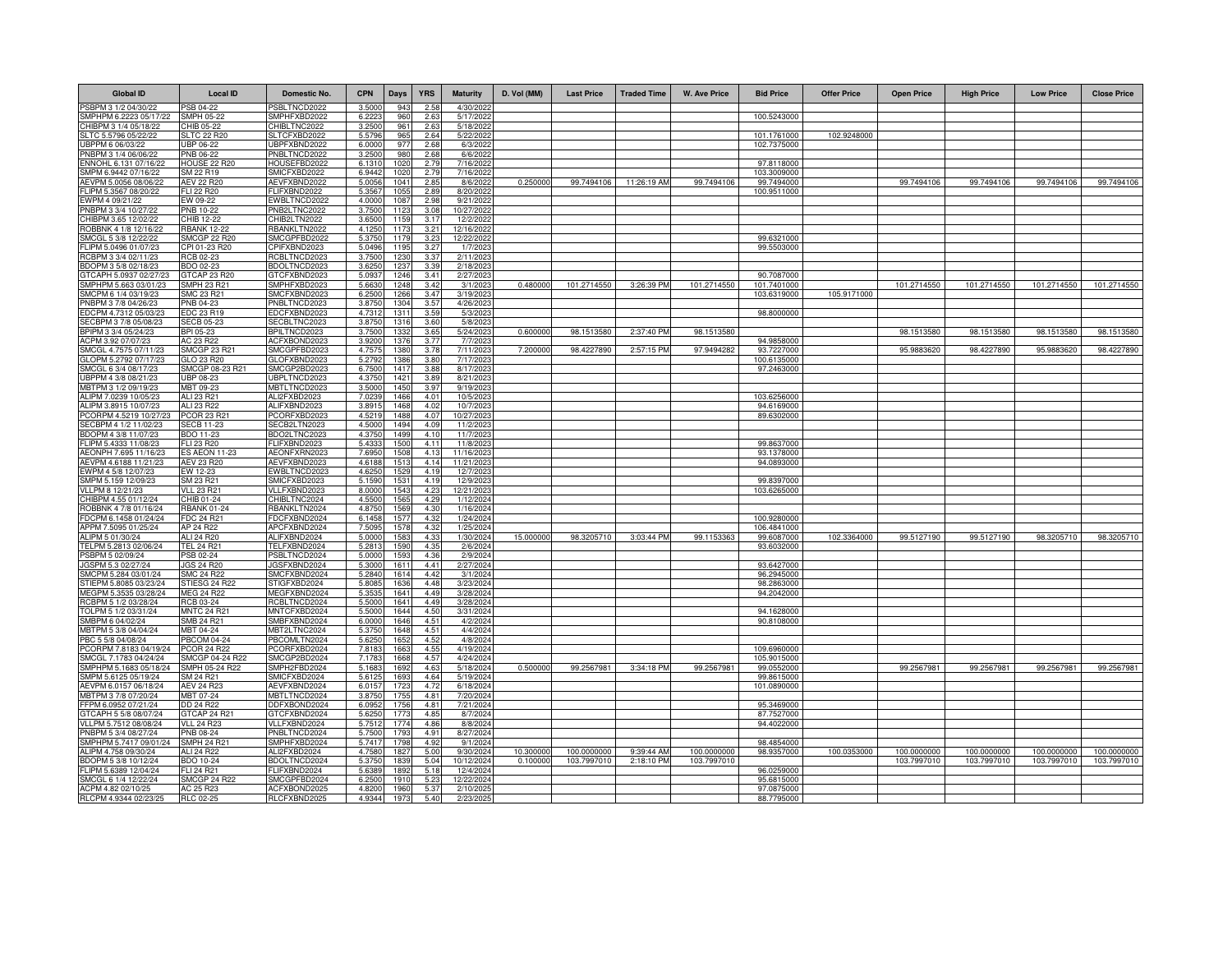| <b>Global ID</b>                                | <b>Local ID</b>                       | Domestic No.                        | <b>CPN</b>       | Days                   | <b>YRS</b>            | <b>Maturity</b>         | D. Vol (MM) | <b>Last Price</b> | <b>Traded Time</b>     | <b>W. Ave Price</b> | <b>Bid Price</b>           | <b>Offer Price</b> | <b>Open Price</b> | <b>High Price</b> | <b>Low Price</b> | <b>Close Price</b> |
|-------------------------------------------------|---------------------------------------|-------------------------------------|------------------|------------------------|-----------------------|-------------------------|-------------|-------------------|------------------------|---------------------|----------------------------|--------------------|-------------------|-------------------|------------------|--------------------|
| PSBPM 3 1/2 04/30/22                            | SB 04-22                              | PSBLTNCD2022                        | 3.5000           | 943                    | 2.58                  | 4/30/202                |             |                   |                        |                     |                            |                    |                   |                   |                  |                    |
| SMPHPM 6.2223 05/17/22                          | <b>SMPH 05-22</b>                     | SMPHFXBD2022                        | 6.2223           | 960                    | 2.63                  | 5/17/2022               |             |                   |                        |                     | 100.5243000                |                    |                   |                   |                  |                    |
| CHIBPM 3 1/4 05/18/22<br>SLTC 5.5796 05/22/22   | HIB 05-22<br>LTC 22 R20               | HIBLTNC2022<br>SLTCFXBD2022         | 3.2500<br>5.5796 | 961<br>965             | 2.63<br>2.64          | 5/18/202<br>5/22/2022   |             |                   |                        |                     | 101.1761000                | 102.9248000        |                   |                   |                  |                    |
| JBPPM 6 06/03/22                                | JBP 06-22                             | JBPFXBND2022                        | 6.000            | 97                     | 2.68                  | 6/3/202                 |             |                   |                        |                     | 102.7375000                |                    |                   |                   |                  |                    |
| PNBPM 3 1/4 06/06/22                            | PNB 06-22                             | PNBLTNCD2022                        | 3.250            | 980                    | 2.68                  | 6/6/2022                |             |                   |                        |                     |                            |                    |                   |                   |                  |                    |
| ENNOHL 6.131 07/16/22                           | HOUSE 22 R20                          | HOUSEFBD2022                        | 6.131            | 102                    | 2.79                  | 7/16/202                |             |                   |                        |                     | 97.8118000                 |                    |                   |                   |                  |                    |
| SMPM 6.9442 07/16/22<br>AEVPM 5.0056 08/06/22   | SM 22 R19<br>AEV 22 R20               | SMICFXBD2022<br>AEVFXBND2022        | 6.9442<br>5.005  | 102<br>1041            | 2.79<br>2.85          | 7/16/2022<br>8/6/2022   | 0.250000    |                   | 99.7494106 11:26:19 AM | 99.7494106          | 103.3009000<br>99.7494000  |                    | 99.7494106        | 99.7494106        | 99.7494106       | 99.7494106         |
| FLIPM 5.3567 08/20/22                           | FLI 22 R20                            | FLIFXBND2022                        | 5.3567           | 1055                   | 2.89                  | 8/20/2022               |             |                   |                        |                     | 100.9511000                |                    |                   |                   |                  |                    |
| EWPM 4 09/21/22                                 | EW 09-22                              | EWBLTNCD2022                        | 4.0000           | 1087                   | 2.98                  | 9/21/2022               |             |                   |                        |                     |                            |                    |                   |                   |                  |                    |
| PNBPM 3 3/4 10/27/22<br>CHIBPM 3.65 12/02/22    | PNB 10-22<br>CHIB 12-22               | PNB2LTNC2022<br>CHIB2LTN2022        | 3.7500<br>3.650  | 1123<br>115            | 3.08<br>3.17          | 10/27/2022              |             |                   |                        |                     |                            |                    |                   |                   |                  |                    |
| ROBBNK 4 1/8 12/16/22                           | <b>RBANK 12-22</b>                    | RBANKLTN2022                        | 4.125            | 1173                   | 3.21                  | 12/2/202<br>12/16/202   |             |                   |                        |                     |                            |                    |                   |                   |                  |                    |
| SMCGL 5 3/8 12/22/22                            | <b>SMCGP 22 R20</b>                   | SMCGPFBD2022                        | 5.375            | 1179                   | 3.23                  | 12/22/2022              |             |                   |                        |                     | 99.6321000                 |                    |                   |                   |                  |                    |
| FLIPM 5.0496 01/07/23                           | PI 01-23 R20                          | PIFXBND2023                         | 5.049            | 1195                   | 3.27                  | 1/7/2023                |             |                   |                        |                     | 99.5503000                 |                    |                   |                   |                  |                    |
| RCBPM 3 3/4 02/11/23<br>BDOPM 3 5/8 02/18/23    | CB 02-23<br>BDO 02-23                 | <b>CBLTNCD2023</b><br>BDOLTNCD2023  | 3.750<br>3.625   | 123<br>1237            | 3.37<br>3.39          | 2/11/202<br>2/18/2023   |             |                   |                        |                     |                            |                    |                   |                   |                  |                    |
| GTCAPH 5.0937 02/27/23                          | GTCAP 23 R20                          | GTCFXBND2023                        | 5.0937           | 1246                   | 3.41                  | 2/27/202                |             |                   |                        |                     | 90.7087000                 |                    |                   |                   |                  |                    |
| SMPHPM 5.663 03/01/23                           | SMPH 23 R21                           | SMPHFXBD2023                        | 5.6630           | 1248                   | 3.42                  | 3/1/2023                | 0.480000    | 101.2714550       | 3:26:39 PM             | 101.2714550         | 101.7401000                |                    | 101.2714550       | 101.2714550       | 101.2714550      | 101.2714550        |
| SMCPM 6 1/4 03/19/23                            | <b>MC 23 R21</b>                      | <b>SMCFXBND2023</b>                 | 6.250            | 126                    | 3.47                  | 3/19/202                |             |                   |                        |                     | 103.6319000                | 105.9171000        |                   |                   |                  |                    |
| PNBPM 3 7/8 04/26/23<br>EDCPM 4.7312 05/03/23   | PNB 04-23<br>EDC 23 R19               | PNBLTNCD2023<br>EDCFXBND2023        | 3.875<br>4.731   | $130 -$<br>131         | 3.57<br>3.59          | 4/26/2023<br>5/3/202    |             |                   |                        |                     | 98.8000000                 |                    |                   |                   |                  |                    |
| SECBPM 3 7/8 05/08/23                           | <b>SECB 05-23</b>                     | SECBLTNC2023                        | 3.875            | 1316                   | 3.60                  | 5/8/202                 |             |                   |                        |                     |                            |                    |                   |                   |                  |                    |
| BPIPM 3 3/4 05/24/23                            | BPI 05-23                             | BPILTNCD2023                        | 3.750            | 133                    | 3.65                  | 5/24/202                | 0.600000    | 98.1513580        | 2:37:40 PM             | 98.1513580          |                            |                    | 98.1513580        | 98.1513580        | 98.1513580       | 98.1513580         |
| ACPM 3.92 07/07/23                              | AC 23 R22                             | ACFXBOND2023                        | 3.920            | 1376                   | 3.77                  | 7/7/2023                |             |                   |                        |                     | 94.9858000                 |                    |                   |                   |                  |                    |
| SMCGL 4.7575 07/11/23<br>GLOPM 5.2792 07/17/23  | <b>SMCGP 23 R21</b><br>GLO 23 R20     | SMCGPFBD2023<br>GLOFXBND2023        | 4.757<br>5.2792  | 1380<br>1386           | 3.78<br>3.80          | 7/11/2023<br>7/17/202   | 7.200000    | 98.4227890        | 2:57:15 PM             | 97.9494282          | 93.7227000<br>100.6135000  |                    | 95.9883620        | 98.4227890        | 95.9883620       | 98.4227890         |
| SMCGL 6 3/4 08/17/23                            | SMCGP 08-23 R21                       | SMCGP2BD2023                        | 6.750            | 1417                   | 3.88                  | 8/17/202                |             |                   |                        |                     | 97.2463000                 |                    |                   |                   |                  |                    |
| JBPPM 4 3/8 08/21/23                            | UBP 08-23                             | JBPLTNCD2023                        | 4.375            | 1421                   | 3.89                  | 8/21/2023               |             |                   |                        |                     |                            |                    |                   |                   |                  |                    |
| MBTPM 3 1/2 09/19/23                            | MBT 09-23                             | MBTLTNCD2023                        | 3.500            | 1450                   | 3.97                  | 9/19/2023               |             |                   |                        |                     |                            |                    |                   |                   |                  |                    |
| ALIPM 7.0239 10/05/23<br>ALIPM 3.8915 10/07/23  | ALI 23 R21<br>ALI 23 R22              | ALI2FXBD2023<br>ALIFXBND2023        | 7.023<br>3.891   | 1466<br>1468           | 4.01<br>4.02          | 10/5/202<br>10/7/202    |             |                   |                        |                     | 103.6256000<br>94.6169000  |                    |                   |                   |                  |                    |
| PCORPM 4.5219 10/27/2                           | <b>PCOR 23 R21</b>                    | PCORFXBD2023                        | 4.521            | 1488                   | 4.07                  | 10/27/202               |             |                   |                        |                     | 89.6302000                 |                    |                   |                   |                  |                    |
| SECBPM 4 1/2 11/02/23                           | <b>SECB 11-23</b>                     | SECB2LTN2023                        | 4.5000           | 1494                   | 4.09                  | 11/2/202                |             |                   |                        |                     |                            |                    |                   |                   |                  |                    |
| BDOPM 4 3/8 11/07/23<br>FLIPM 5.4333 11/08/23   | BDO 11-23<br>FLI 23 R20               | BDO2LTNC2023<br>FLIFXBND2023        | 4.3750<br>5.433  | 1499<br>150            | 4.10<br>4.11          | 11/7/2023<br>11/8/202   |             |                   |                        |                     | 99.8637000                 |                    |                   |                   |                  |                    |
| AEONPH 7.695 11/16/23                           | <b>ES AEON 11-23</b>                  | AEONFXRN2023                        | 7.695            | 1508                   | 4.13                  | 11/16/202               |             |                   |                        |                     | 93.1378000                 |                    |                   |                   |                  |                    |
| AEVPM 4.6188 11/21/23                           | AEV 23 R20                            | AEVFXBND2023                        | 4.618            | 151                    | 4.14                  | 11/21/202               |             |                   |                        |                     | 94.0893000                 |                    |                   |                   |                  |                    |
| EWPM 4 5/8 12/07/23                             | EW 12-23                              | EWBLTNCD2023                        | 4.625            | 152                    | 4.15                  | 12/7/202                |             |                   |                        |                     |                            |                    |                   |                   |                  |                    |
| SMPM 5.159 12/09/23<br>VLLPM 8 12/21/23         | SM 23 R21<br><b>VLL 23 R21</b>        | SMICFXBD2023<br>VLLFXBND2023        | 5.159<br>8.0000  | 153<br>1543            | 4.19<br>4.23          | 12/9/2023<br>12/21/2023 |             |                   |                        |                     | 99.8397000<br>103.6265000  |                    |                   |                   |                  |                    |
| CHIBPM 4.55 01/12/24                            | CHIB 01-24                            | CHIBLTNC2024                        | 4.550            | 156                    | 4.29                  | 1/12/2024               |             |                   |                        |                     |                            |                    |                   |                   |                  |                    |
| ROBBNK 4 7/8 01/16/24                           | <b>RBANK 01-24</b>                    | RBANKLTN2024                        | 4.875            | 1569                   | 4.30                  | 1/16/2024               |             |                   |                        |                     |                            |                    |                   |                   |                  |                    |
| FDCPM 6.1458 01/24/24<br>APPM 7.5095 01/25/24   | FDC 24 R21<br>AP 24 R22               | FDCFXBND2024<br>APCFXBND2024        | 6.1458<br>7.509  | 1577                   | 4.32<br>4.32          | 1/24/2024               |             |                   |                        |                     | 100.9280000<br>106.4841000 |                    |                   |                   |                  |                    |
| ALIPM 5 01/30/24                                | ALI 24 R20                            | ALIFXBND2024                        | 5.000            | 1578<br>158            | 4.33                  | 1/25/2024<br>1/30/2024  | 15.000000   | 98.3205710        | 3:03:44 PM             | 99.1153363          | 99.6087000                 | 102.3364000        | 99.5127190        | 99.5127190        | 98.3205710       | 98.3205710         |
| TELPM 5.2813 02/06/24                           | <b>TEL 24 R21</b>                     | TELFXBND2024                        | 5.281            | 159                    | 4.35                  | 2/6/2024                |             |                   |                        |                     | 93.6032000                 |                    |                   |                   |                  |                    |
| PSBPM 5 02/09/24                                | PSB 02-24                             | PSBLTNCD2024                        | 5.000            | 1593                   | 4.36                  | 2/9/2024                |             |                   |                        |                     |                            |                    |                   |                   |                  |                    |
| GSPM 5.3 02/27/24<br>SMCPM 5.284 03/01/24       | JGS 24 R20<br><b>SMC 24 R22</b>       | <b>JGSFXBND2024</b><br>SMCFXBND2024 | 5.300<br>5.284   | 1611<br>$161-$         | 4.41<br>4.42          | 2/27/2024<br>3/1/2024   |             |                   |                        |                     | 93.6427000<br>96.2945000   |                    |                   |                   |                  |                    |
| STIEPM 5.8085 03/23/24                          | STIESG 24 R22                         | STIGFXBD2024                        | 5.8085           | 163                    | 4.48                  | 3/23/2024               |             |                   |                        |                     | 98.2863000                 |                    |                   |                   |                  |                    |
| MEGPM 5.3535 03/28/24                           | <b>MEG 24 R22</b>                     | MEGFXBND2024                        | 5.353            | 1641                   | 4.49                  | 3/28/2024               |             |                   |                        |                     | 94.2042000                 |                    |                   |                   |                  |                    |
| RCBPM 5 1/2 03/28/24                            | RCB 03-24                             | RCBLTNCD2024                        | 5.5000           | 1641                   | 4.49                  | 3/28/2024               |             |                   |                        |                     |                            |                    |                   |                   |                  |                    |
| TOLPM 5 1/2 03/31/24<br>SMBPM 6 04/02/24        | <b>MNTC 24 R21</b><br>SMB 24 R21      | MNTCFXBD2024<br>SMBFXBND2024        | 5.500<br>6,000   | 1644<br>1646           | 4.50<br>$4.5^{\circ}$ | 3/31/2024<br>4/2/2024   |             |                   |                        |                     | 94.1628000<br>90.8108000   |                    |                   |                   |                  |                    |
| MBTPM 5 3/8 04/04/24                            | MBT 04-24                             | MBT2LTNC2024                        | 5.375            | 1648                   | 4.51                  | 4/4/2024                |             |                   |                        |                     |                            |                    |                   |                   |                  |                    |
| PBC 5 5/8 04/08/24                              | PRCOM 04-24                           | PBCOMLTN2024                        | 5.625            | 1652                   | 4.52                  | 4/8/2024                |             |                   |                        |                     |                            |                    |                   |                   |                  |                    |
| PCORPM 7.8183 04/19/24<br>SMCGL 7.1783 04/24/24 | <b>PCOR 24 R22</b><br>SMCGP 04-24 R22 | PCORFXBD2024<br>SMCGP2BD2024        | 7.818<br>7.178   | 166<br>1668            | 4.55<br>4.57          | 4/19/2024<br>4/24/2024  |             |                   |                        |                     | 109.6960000<br>105.9015000 |                    |                   |                   |                  |                    |
| SMPHPM 5.1683 05/18/24                          | SMPH 05-24 R22                        | SMPH2FBD2024                        | 5.168            | 1692                   | 4.63                  | 5/18/2024               | 0.500000    | 99.2567981        | 3:34:18 PM             | 99.2567981          | 99.0552000                 |                    | 99.2567981        | 99.2567981        | 99.2567981       | 99.2567981         |
| SMPM 5.6125 05/19/24                            | SM 24 R21                             | SMICFXBD2024                        | 5.612            | 1693                   | 4.64                  | 5/19/2024               |             |                   |                        |                     | 99.8615000                 |                    |                   |                   |                  |                    |
| AEVPM 6.0157 06/18/24                           | AEV 24 R23                            | AEVFXBND2024                        | 6.015            | 172                    | 4.72                  | 6/18/2024               |             |                   |                        |                     | 101.0890000                |                    |                   |                   |                  |                    |
| MBTPM 3 7/8 07/20/24<br>FFPM 6.0952 07/21/24    | MBT 07-24<br>DD 24 R22                | MBTLTNCD2024<br>DDFXBOND2024        | 3.875<br>6.095   | 1755<br>175            | 4.81<br>4.81          | 7/20/2024<br>7/21/2024  |             |                   |                        |                     | 95.3469000                 |                    |                   |                   |                  |                    |
| GTCAPH 5 5/8 08/07/24                           | GTCAP 24 R21                          | GTCFXBND2024                        | 5.6250           | 1773                   | 4.85                  | 8/7/2024                |             |                   |                        |                     | 87.7527000                 |                    |                   |                   |                  |                    |
| VLLPM 5.7512 08/08/24                           | <b>VLL 24 R23</b>                     | VLLFXBND2024                        | 5.7512           | 1774                   | 4.86                  | 8/8/2024                |             |                   |                        |                     | 94.4022000                 |                    |                   |                   |                  |                    |
| PNBPM 5 3/4 08/27/24                            | PNB 08-24                             | PNBLTNCD2024                        | 5.7500           | 179                    | 4.91                  | 8/27/2024               |             |                   |                        |                     |                            |                    |                   |                   |                  |                    |
| SMPHPM 5.7417 09/01/24<br>ALIPM 4.758 09/30/24  | <b>SMPH 24 R21</b><br>ALI 24 R22      | SMPHFXBD2024<br>ALI2FXBD2024        | 5.7417<br>4.7580 | 179<br>1827            | 4.92<br>5.00          | 9/1/2024<br>9/30/2024   | 10.300000   | 100.0000000       | 9:39:44 AM             | 100.0000000         | 98.4854000<br>98.9357000   | 100.0353000        | 100.0000000       | 100.0000000       | 100.0000000      | 100.0000000        |
| BDOPM 5 3/8 10/12/24                            | <b>BDO 10-24</b>                      | BDOLTNCD2024                        | 5.3750           | 1839                   | 5.04                  | 10/12/2024              | 0.100000    | 103.7997010       | 2:18:10 PM             | 103.7997010         |                            |                    | 103.7997010       | 103.7997010       | 103.7997010      | 103.7997010        |
| FLIPM 5.6389 12/04/24                           | <b>FLI 24 R21</b>                     | FLIFXBND2024                        | 5.638            | 1892                   | 5.18                  | 12/4/2024               |             |                   |                        |                     | 96.0259000                 |                    |                   |                   |                  |                    |
| SMCGL 6 1/4 12/22/24<br>ACPM 4.82 02/10/25      | <b>SMCGP 24 R22</b><br>AC 25 R23      | SMCGPFBD2024<br>ACFXBOND2025        | 6.250<br>4.820   | 19 <sup>1</sup><br>196 | 5.23<br>5.37          | 12/22/2024<br>2/10/202  |             |                   |                        |                     | 95.6815000<br>97.0875000   |                    |                   |                   |                  |                    |
| RLCPM 4.9344 02/23/25                           | <b>RLC 02-25</b>                      | RLCFXBND2025                        | 4.9344           | 197                    | 5.40                  | 2/23/202                |             |                   |                        |                     | 88.7795000                 |                    |                   |                   |                  |                    |
|                                                 |                                       |                                     |                  |                        |                       |                         |             |                   |                        |                     |                            |                    |                   |                   |                  |                    |